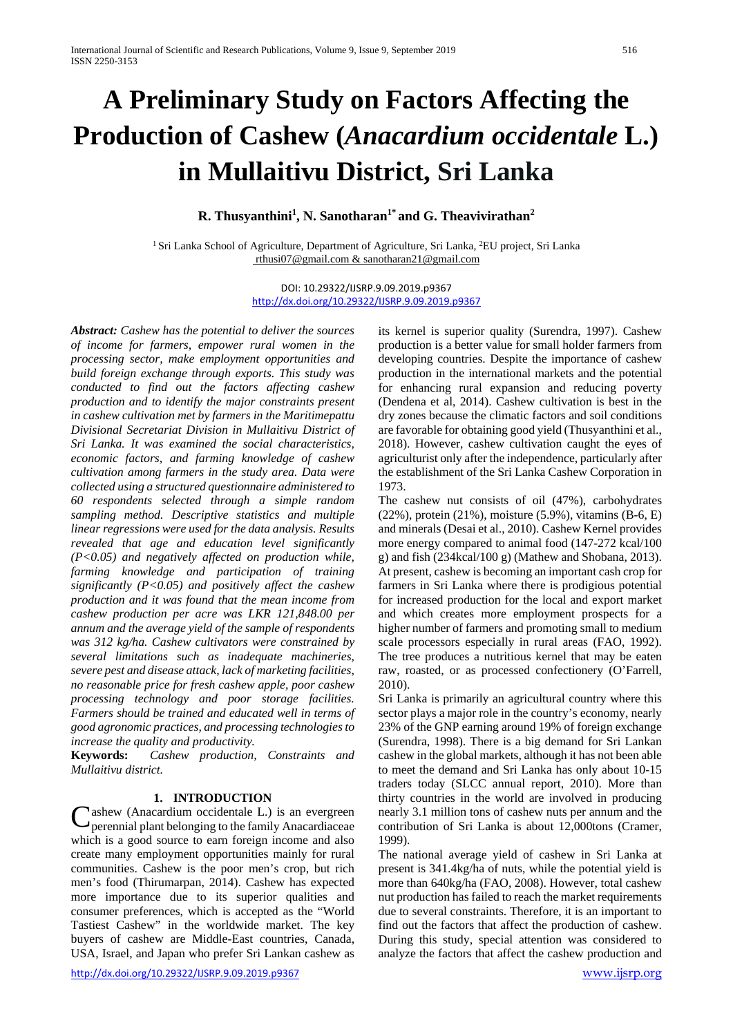# **A Preliminary Study on Factors Affecting the Production of Cashew (***Anacardium occidentale* **L.) in Mullaitivu District, Sri Lanka**

**R. Thusyanthini<sup>1</sup>, N. Sanotharan<sup>1\*</sup> and G. Theavivirathan<sup>2</sup>** 

<sup>1</sup> Sri Lanka School of Agriculture, Department of Agriculture, Sri Lanka, <sup>2</sup>EU project, Sri Lanka [rthusi07@gmail.com & s](mailto:%20rthusi07@gmail.com%20&)anotharan21@gmail.com

> DOI: 10.29322/IJSRP.9.09.2019.p9367 <http://dx.doi.org/10.29322/IJSRP.9.09.2019.p9367>

*Abstract: Cashew has the potential to deliver the sources of income for farmers, empower rural women in the processing sector, make employment opportunities and build foreign exchange through exports. This study was conducted to find out the factors affecting cashew production and to identify the major constraints present in cashew cultivation met by farmers in the Maritimepattu Divisional Secretariat Division in Mullaitivu District of Sri Lanka. It was examined the social characteristics, economic factors, and farming knowledge of cashew cultivation among farmers in the study area. Data were collected using a structured questionnaire administered to 60 respondents selected through a simple random sampling method. Descriptive statistics and multiple linear regressions were used for the data analysis. Results revealed that age and education level significantly (P<0.05) and negatively affected on production while, farming knowledge and participation of training significantly (P<0.05) and positively affect the cashew production and it was found that the mean income from cashew production per acre was LKR 121,848.00 per annum and the average yield of the sample of respondents was 312 kg/ha. Cashew cultivators were constrained by several limitations such as inadequate machineries, severe pest and disease attack, lack of marketing facilities, no reasonable price for fresh cashew apple, poor cashew processing technology and poor storage facilities. Farmers should be trained and educated well in terms of good agronomic practices, and processing technologies to increase the quality and productivity.*

**Keywords:** *Cashew production, Constraints and Mullaitivu district.*

### **1. INTRODUCTION**

Ashew (Anacardium occidentale L.) is an evergreen Cashew (Anacardium occidentale L.) is an evergreen perennial plant belonging to the family Anacardiaceae which is a good source to earn foreign income and also create many employment opportunities mainly for rural communities. Cashew is the poor men's crop, but rich men's food (Thirumarpan, 2014). Cashew has expected more importance due to its superior qualities and consumer preferences, which is accepted as the "World Tastiest Cashew" in the worldwide market. The key buyers of cashew are Middle-East countries, Canada, USA, Israel, and Japan who prefer Sri Lankan cashew as

<http://dx.doi.org/10.29322/IJSRP.9.09.2019.p9367> [www.ijsrp.org](http://ijsrp.org/)

its kernel is superior quality (Surendra, 1997). Cashew production is a better value for small holder farmers from developing countries. Despite the importance of cashew production in the international markets and the potential for enhancing rural expansion and reducing poverty (Dendena et al, 2014). Cashew cultivation is best in the dry zones because the climatic factors and soil conditions are favorable for obtaining good yield (Thusyanthini et al., 2018). However, cashew cultivation caught the eyes of agriculturist only after the independence, particularly after the establishment of the Sri Lanka Cashew Corporation in 1973.

The cashew nut consists of oil (47%), carbohydrates (22%), protein (21%), moisture (5.9%), vitamins (B-6, E) and minerals (Desai et al., 2010). Cashew Kernel provides more energy compared to animal food (147-272 kcal/100 g) and fish (234kcal/100 g) (Mathew and Shobana, 2013). At present, cashew is becoming an important cash crop for farmers in Sri Lanka where there is prodigious potential for increased production for the local and export market and which creates more employment prospects for a higher number of farmers and promoting small to medium scale processors especially in rural areas (FAO, 1992). The tree produces a nutritious kernel that may be eaten raw, roasted, or as processed confectionery (O'Farrell, 2010).

Sri Lanka is primarily an agricultural country where this sector plays a major role in the country's economy, nearly 23% of the GNP earning around 19% of foreign exchange (Surendra, 1998). There is a big demand for Sri Lankan cashew in the global markets, although it has not been able to meet the demand and Sri Lanka has only about 10-15 traders today (SLCC annual report, 2010). More than thirty countries in the world are involved in producing nearly 3.1 million tons of cashew nuts per annum and the contribution of Sri Lanka is about 12,000tons (Cramer, 1999).

The national average yield of cashew in Sri Lanka at present is 341.4kg/ha of nuts, while the potential yield is more than 640kg/ha (FAO, 2008). However, total cashew nut production has failed to reach the market requirements due to several constraints. Therefore, it is an important to find out the factors that affect the production of cashew. During this study, special attention was considered to analyze the factors that affect the cashew production and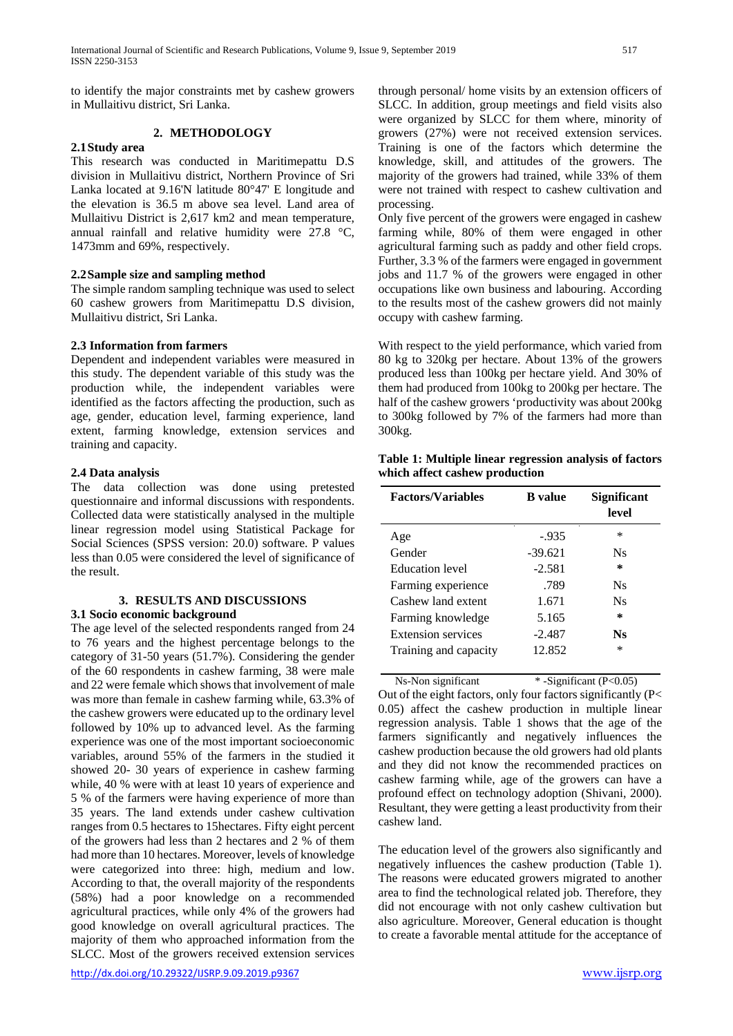to identify the major constraints met by cashew growers in Mullaitivu district, Sri Lanka.

# **2. METHODOLOGY**

# **2.1Study area**

This research was conducted in Maritimepattu D.S division in Mullaitivu district, Northern Province of Sri Lanka located at 9.16'N latitude 80°47' E longitude and the elevation is 36.5 m above sea level. Land area of Mullaitivu District is 2,617 km2 and mean temperature, annual rainfall and relative humidity were 27.8 °C, 1473mm and 69%, respectively.

## **2.2Sample size and sampling method**

The simple random sampling technique was used to select 60 cashew growers from Maritimepattu D.S division, Mullaitivu district, Sri Lanka.

## **2.3 Information from farmers**

Dependent and independent variables were measured in this study. The dependent variable of this study was the production while, the independent variables were identified as the factors affecting the production, such as age, gender, education level, farming experience, land extent, farming knowledge, extension services and training and capacity.

## **2.4 Data analysis**

The data collection was done using pretested questionnaire and informal discussions with respondents. Collected data were statistically analysed in the multiple linear regression model using Statistical Package for Social Sciences (SPSS version: 20.0) software. P values less than 0.05 were considered the level of significance of the result.

#### **3. RESULTS AND DISCUSSIONS 3.1 Socio economic background**

The age level of the selected respondents ranged from 24 to 76 years and the highest percentage belongs to the category of 31-50 years (51.7%). Considering the gender of the 60 respondents in cashew farming, 38 were male and 22 were female which shows that involvement of male was more than female in cashew farming while, 63.3% of the cashew growers were educated up to the ordinary level followed by 10% up to advanced level. As the farming experience was one of the most important socioeconomic variables, around 55% of the farmers in the studied it showed 20- 30 years of experience in cashew farming while, 40 % were with at least 10 years of experience and 5 % of the farmers were having experience of more than 35 years. The land extends under cashew cultivation ranges from 0.5 hectares to 15hectares. Fifty eight percent of the growers had less than 2 hectares and 2 % of them had more than 10 hectares. Moreover, levels of knowledge were categorized into three: high, medium and low. According to that, the overall majority of the respondents (58%) had a poor knowledge on a recommended agricultural practices, while only 4% of the growers had good knowledge on overall agricultural practices. The majority of them who approached information from the SLCC. Most of the growers received extension services

through personal/ home visits by an extension officers of SLCC. In addition, group meetings and field visits also were organized by SLCC for them where, minority of growers (27%) were not received extension services. Training is one of the factors which determine the knowledge, skill, and attitudes of the growers. The majority of the growers had trained, while 33% of them were not trained with respect to cashew cultivation and processing.

Only five percent of the growers were engaged in cashew farming while, 80% of them were engaged in other agricultural farming such as paddy and other field crops. Further, 3.3 % of the farmers were engaged in government jobs and 11.7 % of the growers were engaged in other occupations like own business and labouring. According to the results most of the cashew growers did not mainly occupy with cashew farming.

With respect to the yield performance, which varied from 80 kg to 320kg per hectare. About 13% of the growers produced less than 100kg per hectare yield. And 30% of them had produced from 100kg to 200kg per hectare. The half of the cashew growers 'productivity was about 200kg to 300kg followed by 7% of the farmers had more than 300kg.

**Table 1: Multiple linear regression analysis of factors which affect cashew production**

| <b>Factors/Variables</b>  | <b>B</b> value | <b>Significant</b><br>level |
|---------------------------|----------------|-----------------------------|
| Age                       | $-935$         | $\ast$                      |
| Gender                    | $-39.621$      | Ns                          |
| <b>Education</b> level    | $-2.581$       | ∗                           |
| Farming experience        | .789           | Ns                          |
| Cashew land extent        | 1.671          | Ns                          |
| Farming knowledge         | 5.165          | ∗                           |
| <b>Extension services</b> | $-2.487$       | Ns                          |
| Training and capacity     | 12.852         | *                           |

 $Ns-Non significant$  \* -Significant (P<0.05) Out of the eight factors, only four factors significantly (P< 0.05) affect the cashew production in multiple linear regression analysis. Table 1 shows that the age of the farmers significantly and negatively influences the cashew production because the old growers had old plants and they did not know the recommended practices on cashew farming while, age of the growers can have a profound effect on technology adoption (Shivani, 2000). Resultant, they were getting a least productivity from their cashew land.

The education level of the growers also significantly and negatively influences the cashew production (Table 1). The reasons were educated growers migrated to another area to find the technological related job. Therefore, they did not encourage with not only cashew cultivation but also agriculture. Moreover, General education is thought to create a favorable mental attitude for the acceptance of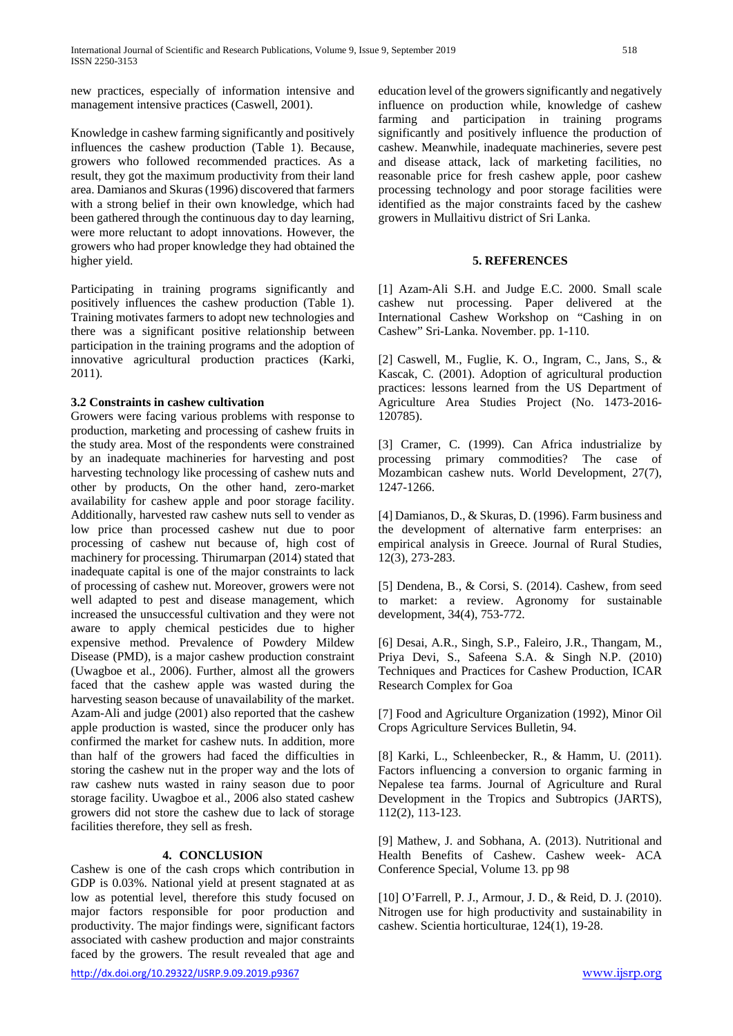new practices, especially of information intensive and management intensive practices (Caswell, 2001).

Knowledge in cashew farming significantly and positively influences the cashew production (Table 1). Because, growers who followed recommended practices. As a result, they got the maximum productivity from their land area. Damianos and Skuras (1996) discovered that farmers with a strong belief in their own knowledge, which had been gathered through the continuous day to day learning, were more reluctant to adopt innovations. However, the growers who had proper knowledge they had obtained the higher yield.

Participating in training programs significantly and positively influences the cashew production (Table 1). Training motivates farmers to adopt new technologies and there was a significant positive relationship between participation in the training programs and the adoption of innovative agricultural production practices (Karki, 2011).

### **3.2 Constraints in cashew cultivation**

Growers were facing various problems with response to production, marketing and processing of cashew fruits in the study area. Most of the respondents were constrained by an inadequate machineries for harvesting and post harvesting technology like processing of cashew nuts and other by products, On the other hand, zero-market availability for cashew apple and poor storage facility. Additionally, harvested raw cashew nuts sell to vender as low price than processed cashew nut due to poor processing of cashew nut because of, high cost of machinery for processing. Thirumarpan (2014) stated that inadequate capital is one of the major constraints to lack of processing of cashew nut. Moreover, growers were not well adapted to pest and disease management, which increased the unsuccessful cultivation and they were not aware to apply chemical pesticides due to higher expensive method. Prevalence of Powdery Mildew Disease (PMD), is a major cashew production constraint (Uwagboe et al., 2006). Further, almost all the growers faced that the cashew apple was wasted during the harvesting season because of unavailability of the market. Azam-Ali and judge (2001) also reported that the cashew apple production is wasted, since the producer only has confirmed the market for cashew nuts. In addition, more than half of the growers had faced the difficulties in storing the cashew nut in the proper way and the lots of raw cashew nuts wasted in rainy season due to poor storage facility. Uwagboe et al., 2006 also stated cashew growers did not store the cashew due to lack of storage facilities therefore, they sell as fresh.

### **4. CONCLUSION**

Cashew is one of the cash crops which contribution in GDP is 0.03%. National yield at present stagnated at as low as potential level, therefore this study focused on major factors responsible for poor production and productivity. The major findings were, significant factors associated with cashew production and major constraints faced by the growers. The result revealed that age and

<http://dx.doi.org/10.29322/IJSRP.9.09.2019.p9367> [www.ijsrp.org](http://ijsrp.org/)

education level of the growers significantly and negatively influence on production while, knowledge of cashew farming and participation in training programs significantly and positively influence the production of cashew. Meanwhile, inadequate machineries, severe pest and disease attack, lack of marketing facilities, no reasonable price for fresh cashew apple, poor cashew processing technology and poor storage facilities were identified as the major constraints faced by the cashew growers in Mullaitivu district of Sri Lanka.

# **5. REFERENCES**

[1] Azam-Ali S.H. and Judge E.C. 2000. Small scale cashew nut processing. Paper delivered at the International Cashew Workshop on "Cashing in on Cashew" Sri-Lanka. November. pp. 1-110.

[2] Caswell, M., Fuglie, K. O., Ingram, C., Jans, S., & Kascak, C. (2001). Adoption of agricultural production practices: lessons learned from the US Department of Agriculture Area Studies Project (No. 1473-2016- 120785).

[3] Cramer, C. (1999). Can Africa industrialize by processing primary commodities? The case of Mozambican cashew nuts. World Development, 27(7), 1247-1266.

[4] Damianos, D., & Skuras, D. (1996). Farm business and the development of alternative farm enterprises: an empirical analysis in Greece. Journal of Rural Studies, 12(3), 273-283.

[5] Dendena, B., & Corsi, S. (2014). Cashew, from seed to market: a review. Agronomy for sustainable development, 34(4), 753-772.

[6] Desai, A.R., Singh, S.P., Faleiro, J.R., Thangam, M., Priya Devi, S., Safeena S.A. & Singh N.P. (2010) Techniques and Practices for Cashew Production, ICAR Research Complex for Goa

[7] Food and Agriculture Organization (1992), Minor Oil Crops Agriculture Services Bulletin, 94.

[8] Karki, L., Schleenbecker, R., & Hamm, U. (2011). Factors influencing a conversion to organic farming in Nepalese tea farms. Journal of Agriculture and Rural Development in the Tropics and Subtropics (JARTS), 112(2), 113-123.

[9] Mathew, J. and Sobhana, A. (2013). Nutritional and Health Benefits of Cashew. Cashew week- ACA Conference Special, Volume 13. pp 98

[10] O'Farrell, P. J., Armour, J. D., & Reid, D. J. (2010). Nitrogen use for high productivity and sustainability in cashew. Scientia horticulturae, 124(1), 19-28.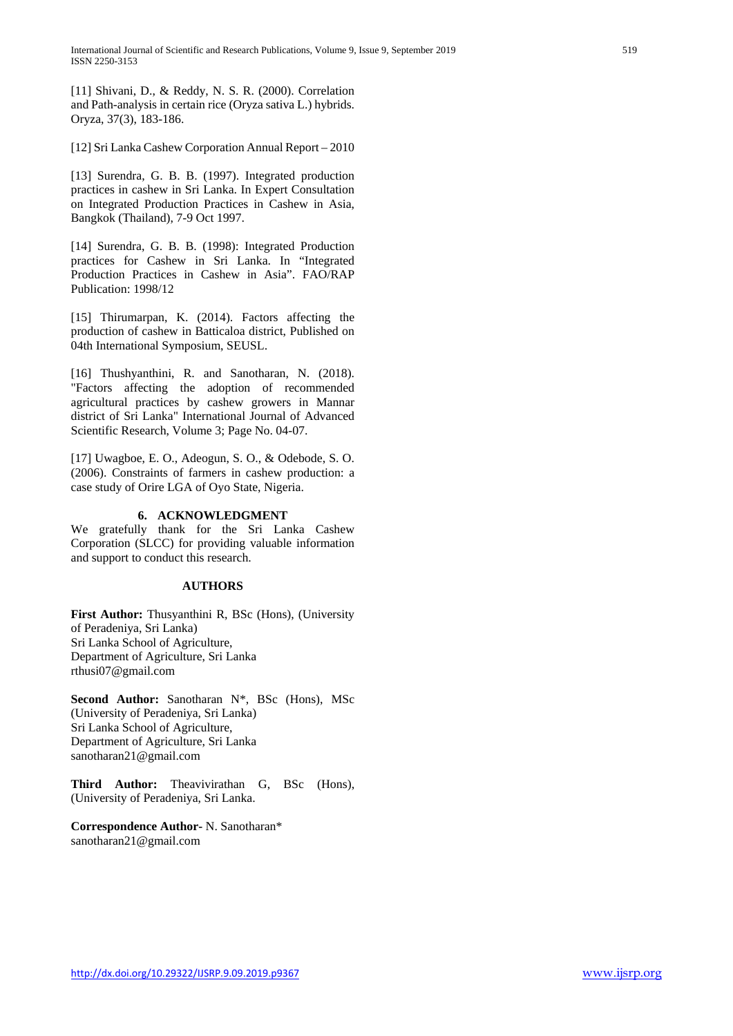[11] Shivani, D., & Reddy, N. S. R. (2000). Correlation and Path-analysis in certain rice (Oryza sativa L.) hybrids. Oryza, 37(3), 183-186.

[12] Sri Lanka Cashew Corporation Annual Report – 2010

[13] Surendra, G. B. B. (1997). Integrated production practices in cashew in Sri Lanka. In Expert Consultation on Integrated Production Practices in Cashew in Asia, Bangkok (Thailand), 7-9 Oct 1997.

[14] Surendra, G. B. B. (1998): Integrated Production practices for Cashew in Sri Lanka. In "Integrated Production Practices in Cashew in Asia". FAO/RAP Publication: 1998/12

[15] Thirumarpan, K. (2014). Factors affecting the production of cashew in Batticaloa district, Published on 04th International Symposium, SEUSL.

[16] Thushyanthini, R. and Sanotharan, N. (2018). "Factors affecting the adoption of recommended agricultural practices by cashew growers in Mannar district of Sri Lanka" International Journal of Advanced Scientific Research, Volume 3; Page No. 04-07.

[17] Uwagboe, E. O., Adeogun, S. O., & Odebode, S. O. (2006). Constraints of farmers in cashew production: a case study of Orire LGA of Oyo State, Nigeria.

#### **6. ACKNOWLEDGMENT**

We gratefully thank for the Sri Lanka Cashew Corporation (SLCC) for providing valuable information and support to conduct this research.

#### **AUTHORS**

**First Author:** Thusyanthini R, BSc (Hons), (University of Peradeniya, Sri Lanka) Sri Lanka School of Agriculture, Department of Agriculture, Sri Lanka rthusi07@gmail.com

**Second Author:** Sanotharan N\*, BSc (Hons), MSc (University of Peradeniya, Sri Lanka) Sri Lanka School of Agriculture, Department of Agriculture, Sri Lanka sanotharan21@gmail.com

**Third Author:** Theavivirathan G, BSc (Hons), (University of Peradeniya, Sri Lanka.

**Correspondence Author-** N. Sanotharan\* sanotharan21@gmail.com